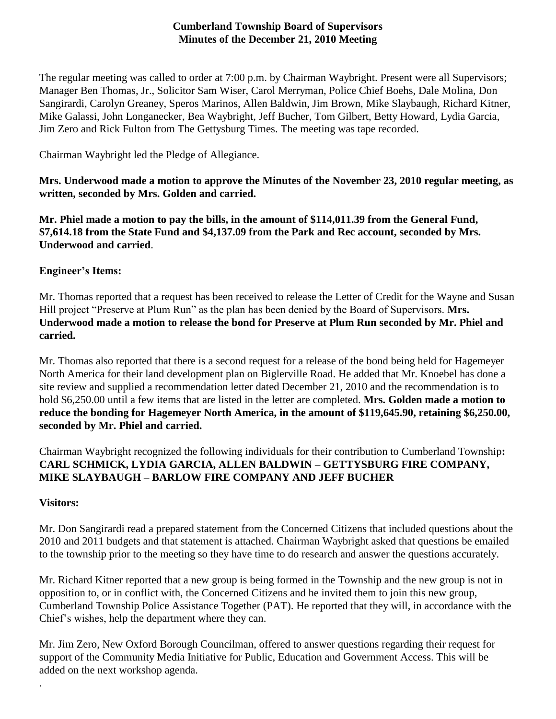### **Cumberland Township Board of Supervisors Minutes of the December 21, 2010 Meeting**

The regular meeting was called to order at 7:00 p.m. by Chairman Waybright. Present were all Supervisors; Manager Ben Thomas, Jr., Solicitor Sam Wiser, Carol Merryman, Police Chief Boehs, Dale Molina, Don Sangirardi, Carolyn Greaney, Speros Marinos, Allen Baldwin, Jim Brown, Mike Slaybaugh, Richard Kitner, Mike Galassi, John Longanecker, Bea Waybright, Jeff Bucher, Tom Gilbert, Betty Howard, Lydia Garcia, Jim Zero and Rick Fulton from The Gettysburg Times. The meeting was tape recorded.

Chairman Waybright led the Pledge of Allegiance.

**Mrs. Underwood made a motion to approve the Minutes of the November 23, 2010 regular meeting, as written, seconded by Mrs. Golden and carried.**

**Mr. Phiel made a motion to pay the bills, in the amount of \$114,011.39 from the General Fund, \$7,614.18 from the State Fund and \$4,137.09 from the Park and Rec account, seconded by Mrs. Underwood and carried**.

# **Engineer's Items:**

Mr. Thomas reported that a request has been received to release the Letter of Credit for the Wayne and Susan Hill project "Preserve at Plum Run" as the plan has been denied by the Board of Supervisors. **Mrs. Underwood made a motion to release the bond for Preserve at Plum Run seconded by Mr. Phiel and carried.**

Mr. Thomas also reported that there is a second request for a release of the bond being held for Hagemeyer North America for their land development plan on Biglerville Road. He added that Mr. Knoebel has done a site review and supplied a recommendation letter dated December 21, 2010 and the recommendation is to hold \$6,250.00 until a few items that are listed in the letter are completed. **Mrs. Golden made a motion to reduce the bonding for Hagemeyer North America, in the amount of \$119,645.90, retaining \$6,250.00, seconded by Mr. Phiel and carried.**

Chairman Waybright recognized the following individuals for their contribution to Cumberland Township**: CARL SCHMICK, LYDIA GARCIA, ALLEN BALDWIN – GETTYSBURG FIRE COMPANY, MIKE SLAYBAUGH – BARLOW FIRE COMPANY AND JEFF BUCHER**

### **Visitors:**

.

Mr. Don Sangirardi read a prepared statement from the Concerned Citizens that included questions about the 2010 and 2011 budgets and that statement is attached. Chairman Waybright asked that questions be emailed to the township prior to the meeting so they have time to do research and answer the questions accurately.

Mr. Richard Kitner reported that a new group is being formed in the Township and the new group is not in opposition to, or in conflict with, the Concerned Citizens and he invited them to join this new group, Cumberland Township Police Assistance Together (PAT). He reported that they will, in accordance with the Chief's wishes, help the department where they can.

Mr. Jim Zero, New Oxford Borough Councilman, offered to answer questions regarding their request for support of the Community Media Initiative for Public, Education and Government Access. This will be added on the next workshop agenda.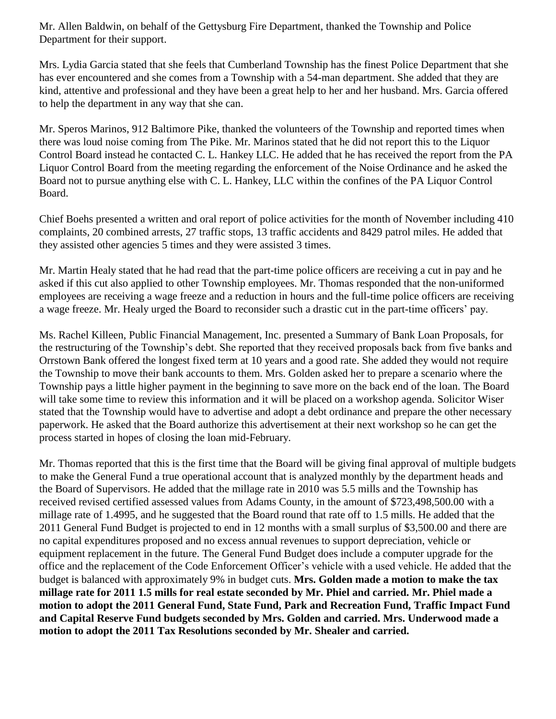Mr. Allen Baldwin, on behalf of the Gettysburg Fire Department, thanked the Township and Police Department for their support.

Mrs. Lydia Garcia stated that she feels that Cumberland Township has the finest Police Department that she has ever encountered and she comes from a Township with a 54-man department. She added that they are kind, attentive and professional and they have been a great help to her and her husband. Mrs. Garcia offered to help the department in any way that she can.

Mr. Speros Marinos, 912 Baltimore Pike, thanked the volunteers of the Township and reported times when there was loud noise coming from The Pike. Mr. Marinos stated that he did not report this to the Liquor Control Board instead he contacted C. L. Hankey LLC. He added that he has received the report from the PA Liquor Control Board from the meeting regarding the enforcement of the Noise Ordinance and he asked the Board not to pursue anything else with C. L. Hankey, LLC within the confines of the PA Liquor Control Board.

Chief Boehs presented a written and oral report of police activities for the month of November including 410 complaints, 20 combined arrests, 27 traffic stops, 13 traffic accidents and 8429 patrol miles. He added that they assisted other agencies 5 times and they were assisted 3 times.

Mr. Martin Healy stated that he had read that the part-time police officers are receiving a cut in pay and he asked if this cut also applied to other Township employees. Mr. Thomas responded that the non-uniformed employees are receiving a wage freeze and a reduction in hours and the full-time police officers are receiving a wage freeze. Mr. Healy urged the Board to reconsider such a drastic cut in the part-time officers' pay.

Ms. Rachel Killeen, Public Financial Management, Inc. presented a Summary of Bank Loan Proposals, for the restructuring of the Township's debt. She reported that they received proposals back from five banks and Orrstown Bank offered the longest fixed term at 10 years and a good rate. She added they would not require the Township to move their bank accounts to them. Mrs. Golden asked her to prepare a scenario where the Township pays a little higher payment in the beginning to save more on the back end of the loan. The Board will take some time to review this information and it will be placed on a workshop agenda. Solicitor Wiser stated that the Township would have to advertise and adopt a debt ordinance and prepare the other necessary paperwork. He asked that the Board authorize this advertisement at their next workshop so he can get the process started in hopes of closing the loan mid-February.

Mr. Thomas reported that this is the first time that the Board will be giving final approval of multiple budgets to make the General Fund a true operational account that is analyzed monthly by the department heads and the Board of Supervisors. He added that the millage rate in 2010 was 5.5 mills and the Township has received revised certified assessed values from Adams County, in the amount of \$723,498,500.00 with a millage rate of 1.4995, and he suggested that the Board round that rate off to 1.5 mills. He added that the 2011 General Fund Budget is projected to end in 12 months with a small surplus of \$3,500.00 and there are no capital expenditures proposed and no excess annual revenues to support depreciation, vehicle or equipment replacement in the future. The General Fund Budget does include a computer upgrade for the office and the replacement of the Code Enforcement Officer's vehicle with a used vehicle. He added that the budget is balanced with approximately 9% in budget cuts. **Mrs. Golden made a motion to make the tax millage rate for 2011 1.5 mills for real estate seconded by Mr. Phiel and carried. Mr. Phiel made a motion to adopt the 2011 General Fund, State Fund, Park and Recreation Fund, Traffic Impact Fund and Capital Reserve Fund budgets seconded by Mrs. Golden and carried. Mrs. Underwood made a motion to adopt the 2011 Tax Resolutions seconded by Mr. Shealer and carried.**